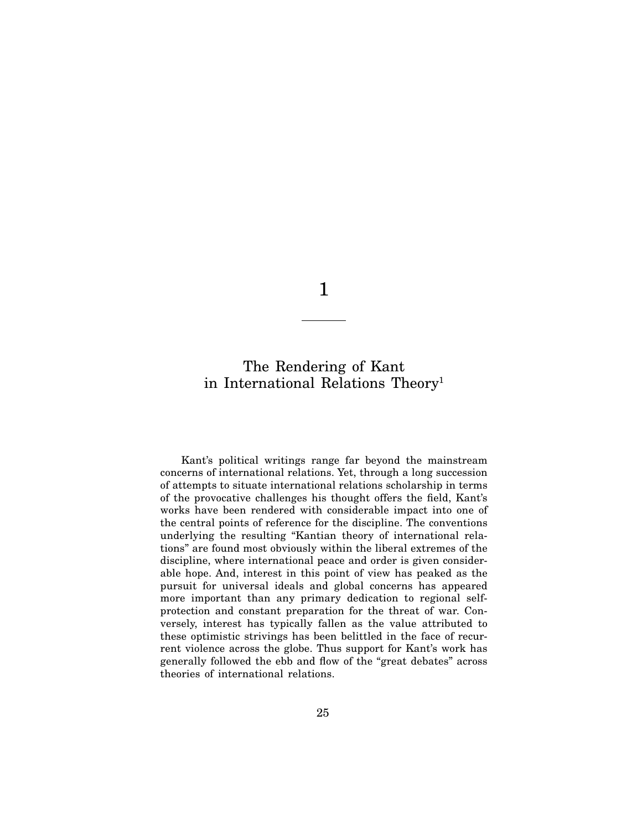## 1

## The Rendering of Kant in International Relations Theory1

Kant's political writings range far beyond the mainstream concerns of international relations. Yet, through a long succession of attempts to situate international relations scholarship in terms of the provocative challenges his thought offers the field, Kant's works have been rendered with considerable impact into one of the central points of reference for the discipline. The conventions underlying the resulting "Kantian theory of international relations" are found most obviously within the liberal extremes of the discipline, where international peace and order is given considerable hope. And, interest in this point of view has peaked as the pursuit for universal ideals and global concerns has appeared more important than any primary dedication to regional selfprotection and constant preparation for the threat of war. Conversely, interest has typically fallen as the value attributed to these optimistic strivings has been belittled in the face of recurrent violence across the globe. Thus support for Kant's work has generally followed the ebb and flow of the "great debates" across theories of international relations.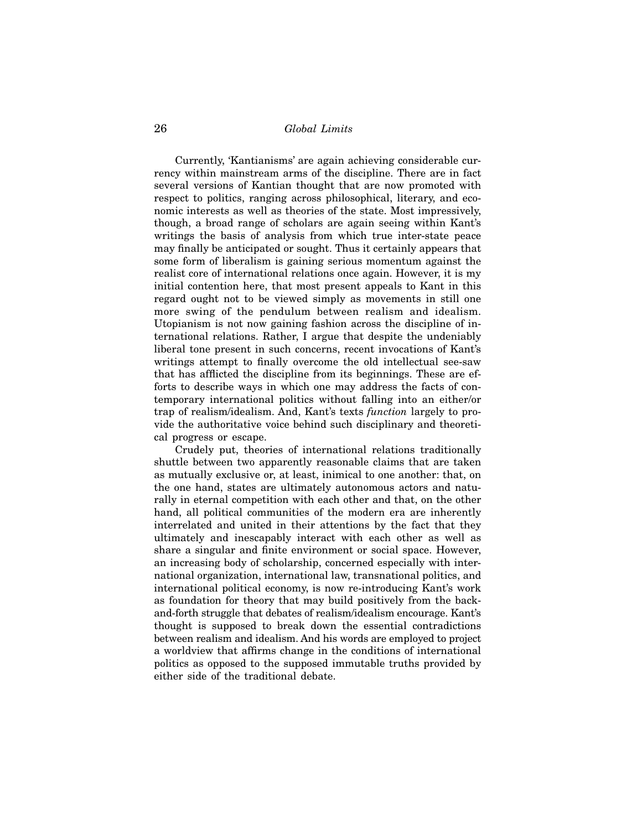Currently, 'Kantianisms' are again achieving considerable currency within mainstream arms of the discipline. There are in fact several versions of Kantian thought that are now promoted with respect to politics, ranging across philosophical, literary, and economic interests as well as theories of the state. Most impressively, though, a broad range of scholars are again seeing within Kant's writings the basis of analysis from which true inter-state peace may finally be anticipated or sought. Thus it certainly appears that some form of liberalism is gaining serious momentum against the realist core of international relations once again. However, it is my initial contention here, that most present appeals to Kant in this regard ought not to be viewed simply as movements in still one more swing of the pendulum between realism and idealism. Utopianism is not now gaining fashion across the discipline of international relations. Rather, I argue that despite the undeniably liberal tone present in such concerns, recent invocations of Kant's writings attempt to finally overcome the old intellectual see-saw that has afflicted the discipline from its beginnings. These are efforts to describe ways in which one may address the facts of contemporary international politics without falling into an either/or trap of realism/idealism. And, Kant's texts *function* largely to provide the authoritative voice behind such disciplinary and theoretical progress or escape.

Crudely put, theories of international relations traditionally shuttle between two apparently reasonable claims that are taken as mutually exclusive or, at least, inimical to one another: that, on the one hand, states are ultimately autonomous actors and naturally in eternal competition with each other and that, on the other hand, all political communities of the modern era are inherently interrelated and united in their attentions by the fact that they ultimately and inescapably interact with each other as well as share a singular and finite environment or social space. However, an increasing body of scholarship, concerned especially with international organization, international law, transnational politics, and international political economy, is now re-introducing Kant's work as foundation for theory that may build positively from the backand-forth struggle that debates of realism/idealism encourage. Kant's thought is supposed to break down the essential contradictions between realism and idealism. And his words are employed to project a worldview that affirms change in the conditions of international politics as opposed to the supposed immutable truths provided by either side of the traditional debate.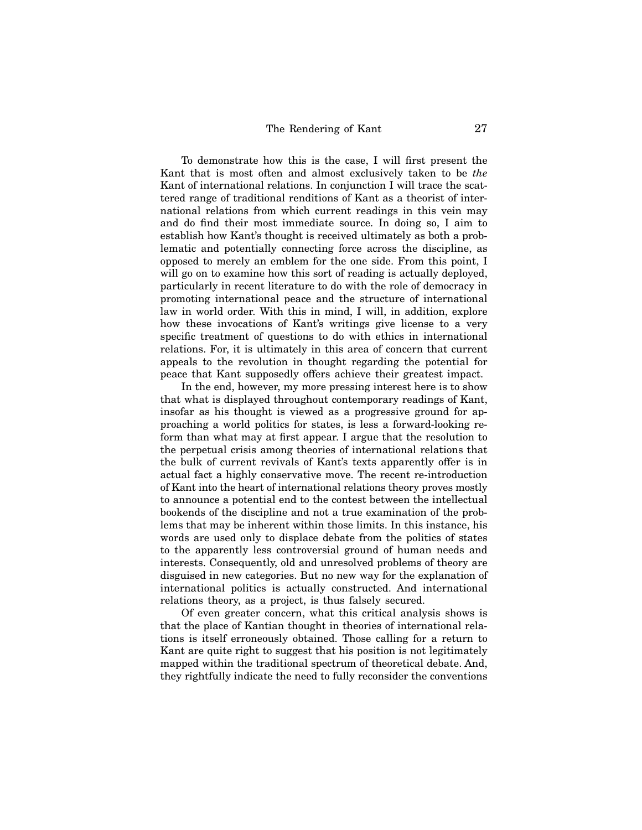To demonstrate how this is the case, I will first present the Kant that is most often and almost exclusively taken to be *the* Kant of international relations. In conjunction I will trace the scattered range of traditional renditions of Kant as a theorist of international relations from which current readings in this vein may and do find their most immediate source. In doing so, I aim to establish how Kant's thought is received ultimately as both a problematic and potentially connecting force across the discipline, as opposed to merely an emblem for the one side. From this point, I will go on to examine how this sort of reading is actually deployed, particularly in recent literature to do with the role of democracy in promoting international peace and the structure of international law in world order. With this in mind, I will, in addition, explore how these invocations of Kant's writings give license to a very specific treatment of questions to do with ethics in international relations. For, it is ultimately in this area of concern that current appeals to the revolution in thought regarding the potential for peace that Kant supposedly offers achieve their greatest impact.

In the end, however, my more pressing interest here is to show that what is displayed throughout contemporary readings of Kant, insofar as his thought is viewed as a progressive ground for approaching a world politics for states, is less a forward-looking reform than what may at first appear. I argue that the resolution to the perpetual crisis among theories of international relations that the bulk of current revivals of Kant's texts apparently offer is in actual fact a highly conservative move. The recent re-introduction of Kant into the heart of international relations theory proves mostly to announce a potential end to the contest between the intellectual bookends of the discipline and not a true examination of the problems that may be inherent within those limits. In this instance, his words are used only to displace debate from the politics of states to the apparently less controversial ground of human needs and interests. Consequently, old and unresolved problems of theory are disguised in new categories. But no new way for the explanation of international politics is actually constructed. And international relations theory, as a project, is thus falsely secured.

Of even greater concern, what this critical analysis shows is that the place of Kantian thought in theories of international relations is itself erroneously obtained. Those calling for a return to Kant are quite right to suggest that his position is not legitimately mapped within the traditional spectrum of theoretical debate. And, they rightfully indicate the need to fully reconsider the conventions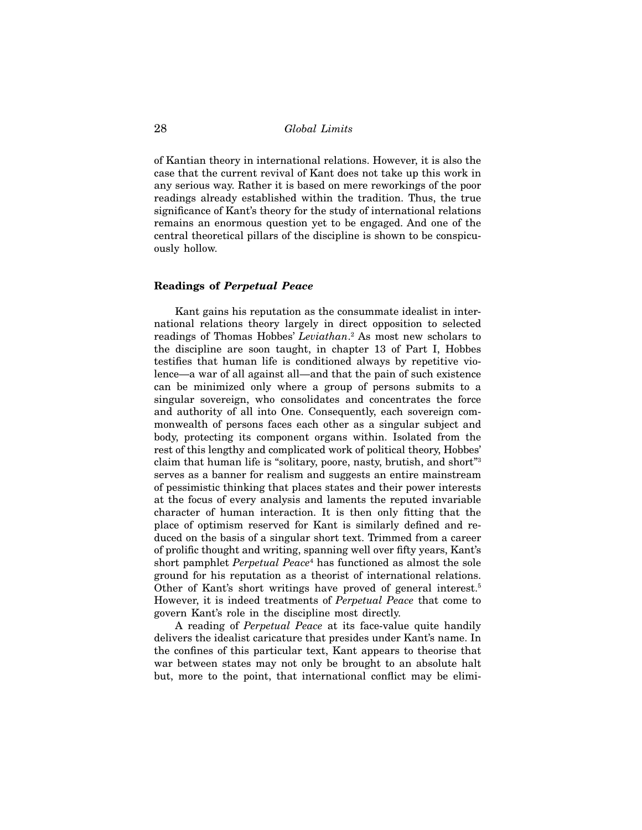of Kantian theory in international relations. However, it is also the case that the current revival of Kant does not take up this work in any serious way. Rather it is based on mere reworkings of the poor readings already established within the tradition. Thus, the true significance of Kant's theory for the study of international relations remains an enormous question yet to be engaged. And one of the central theoretical pillars of the discipline is shown to be conspicuously hollow.

## **Readings of** *Perpetual Peace*

Kant gains his reputation as the consummate idealist in international relations theory largely in direct opposition to selected readings of Thomas Hobbes' *Leviathan*. 2 As most new scholars to the discipline are soon taught, in chapter 13 of Part I, Hobbes testifies that human life is conditioned always by repetitive violence—a war of all against all—and that the pain of such existence can be minimized only where a group of persons submits to a singular sovereign, who consolidates and concentrates the force and authority of all into One. Consequently, each sovereign commonwealth of persons faces each other as a singular subject and body, protecting its component organs within. Isolated from the rest of this lengthy and complicated work of political theory, Hobbes' claim that human life is "solitary, poore, nasty, brutish, and short"3 serves as a banner for realism and suggests an entire mainstream of pessimistic thinking that places states and their power interests at the focus of every analysis and laments the reputed invariable character of human interaction. It is then only fitting that the place of optimism reserved for Kant is similarly defined and reduced on the basis of a singular short text. Trimmed from a career of prolific thought and writing, spanning well over fifty years, Kant's short pamphlet *Perpetual Peace*<sup>4</sup> has functioned as almost the sole ground for his reputation as a theorist of international relations. Other of Kant's short writings have proved of general interest.<sup>5</sup> However, it is indeed treatments of *Perpetual Peace* that come to govern Kant's role in the discipline most directly.

A reading of *Perpetual Peace* at its face-value quite handily delivers the idealist caricature that presides under Kant's name. In the confines of this particular text, Kant appears to theorise that war between states may not only be brought to an absolute halt but, more to the point, that international conflict may be elimi-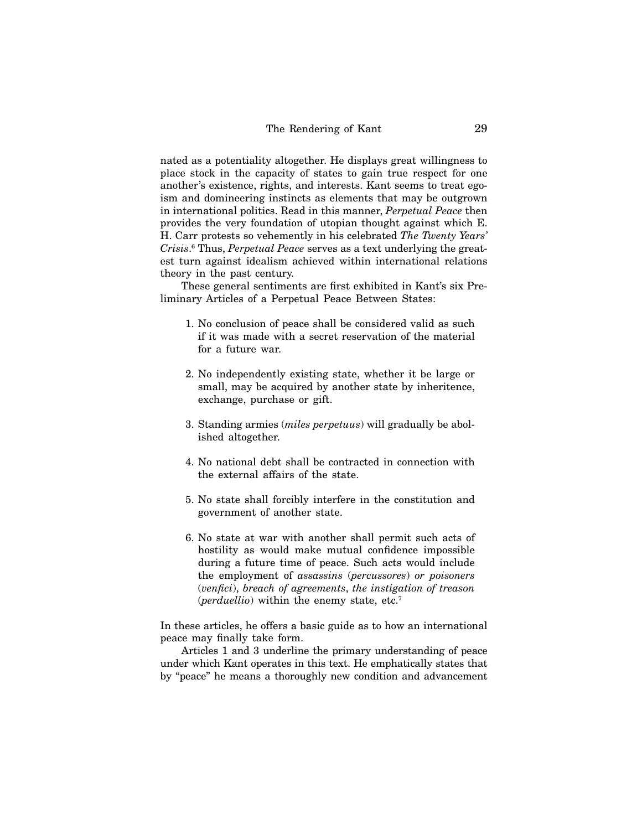nated as a potentiality altogether. He displays great willingness to place stock in the capacity of states to gain true respect for one another's existence, rights, and interests. Kant seems to treat egoism and domineering instincts as elements that may be outgrown in international politics. Read in this manner, *Perpetual Peace* then provides the very foundation of utopian thought against which E. H. Carr protests so vehemently in his celebrated *The Twenty Years' Crisis*. 6 Thus, *Perpetual Peace* serves as a text underlying the greatest turn against idealism achieved within international relations theory in the past century.

These general sentiments are first exhibited in Kant's six Preliminary Articles of a Perpetual Peace Between States:

- 1. No conclusion of peace shall be considered valid as such if it was made with a secret reservation of the material for a future war.
- 2. No independently existing state, whether it be large or small, may be acquired by another state by inheritence, exchange, purchase or gift.
- 3. Standing armies (*miles perpetuus*) will gradually be abolished altogether.
- 4. No national debt shall be contracted in connection with the external affairs of the state.
- 5. No state shall forcibly interfere in the constitution and government of another state.
- 6. No state at war with another shall permit such acts of hostility as would make mutual confidence impossible during a future time of peace. Such acts would include the employment of *assassins* (*percussores*) *or poisoners* (*venfici*), *breach of agreements*, *the instigation of treason* (*perduellio*) within the enemy state, etc.7

In these articles, he offers a basic guide as to how an international peace may finally take form.

Articles 1 and 3 underline the primary understanding of peace under which Kant operates in this text. He emphatically states that by "peace" he means a thoroughly new condition and advancement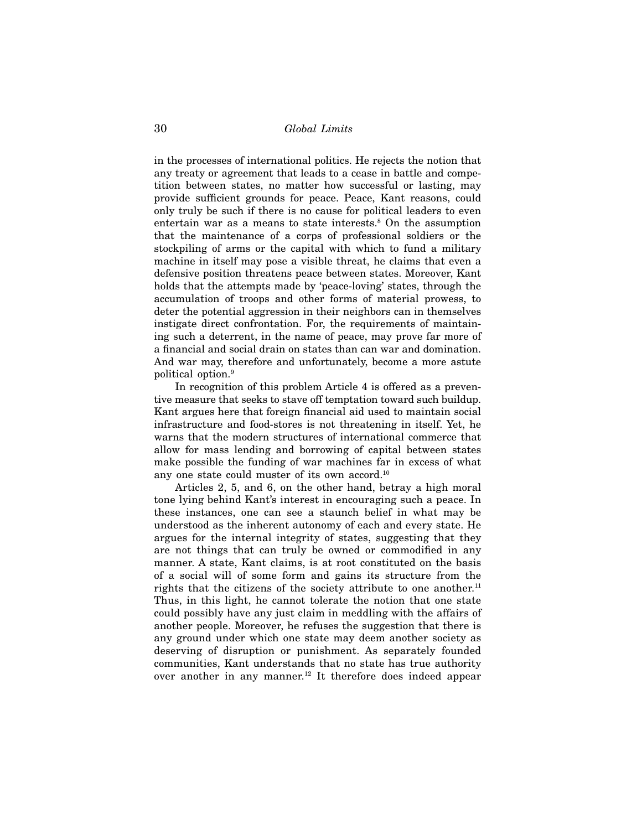in the processes of international politics. He rejects the notion that any treaty or agreement that leads to a cease in battle and competition between states, no matter how successful or lasting, may provide sufficient grounds for peace. Peace, Kant reasons, could only truly be such if there is no cause for political leaders to even entertain war as a means to state interests.<sup>8</sup> On the assumption that the maintenance of a corps of professional soldiers or the stockpiling of arms or the capital with which to fund a military machine in itself may pose a visible threat, he claims that even a defensive position threatens peace between states. Moreover, Kant holds that the attempts made by 'peace-loving' states, through the accumulation of troops and other forms of material prowess, to deter the potential aggression in their neighbors can in themselves instigate direct confrontation. For, the requirements of maintaining such a deterrent, in the name of peace, may prove far more of a financial and social drain on states than can war and domination. And war may, therefore and unfortunately, become a more astute political option.9

In recognition of this problem Article 4 is offered as a preventive measure that seeks to stave off temptation toward such buildup. Kant argues here that foreign financial aid used to maintain social infrastructure and food-stores is not threatening in itself. Yet, he warns that the modern structures of international commerce that allow for mass lending and borrowing of capital between states make possible the funding of war machines far in excess of what any one state could muster of its own accord.10

Articles 2, 5, and 6, on the other hand, betray a high moral tone lying behind Kant's interest in encouraging such a peace. In these instances, one can see a staunch belief in what may be understood as the inherent autonomy of each and every state. He argues for the internal integrity of states, suggesting that they are not things that can truly be owned or commodified in any manner. A state, Kant claims, is at root constituted on the basis of a social will of some form and gains its structure from the rights that the citizens of the society attribute to one another.<sup>11</sup> Thus, in this light, he cannot tolerate the notion that one state could possibly have any just claim in meddling with the affairs of another people. Moreover, he refuses the suggestion that there is any ground under which one state may deem another society as deserving of disruption or punishment. As separately founded communities, Kant understands that no state has true authority over another in any manner.12 It therefore does indeed appear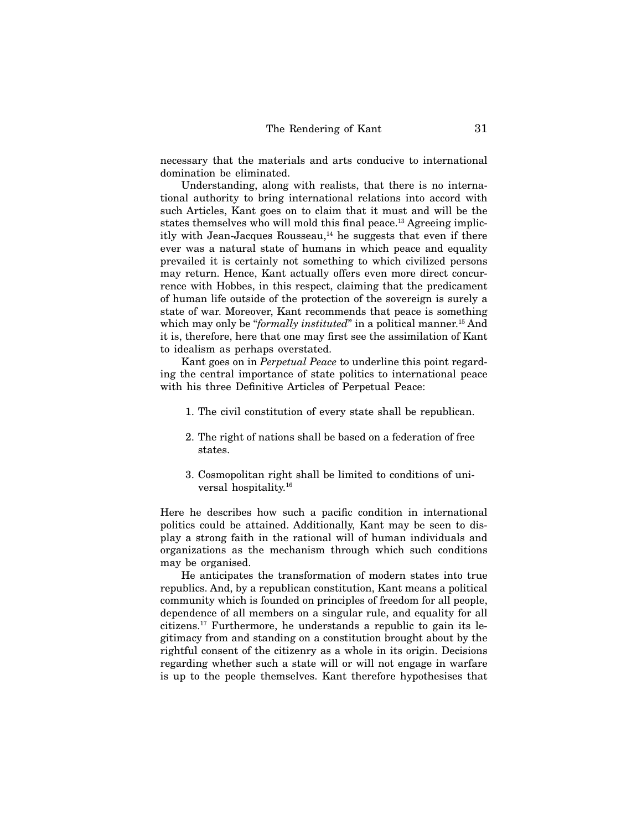necessary that the materials and arts conducive to international domination be eliminated.

Understanding, along with realists, that there is no international authority to bring international relations into accord with such Articles, Kant goes on to claim that it must and will be the states themselves who will mold this final peace.<sup>13</sup> Agreeing implicitly with Jean-Jacques Rousseau, $<sup>14</sup>$  he suggests that even if there</sup> ever was a natural state of humans in which peace and equality prevailed it is certainly not something to which civilized persons may return. Hence, Kant actually offers even more direct concurrence with Hobbes, in this respect, claiming that the predicament of human life outside of the protection of the sovereign is surely a state of war. Moreover, Kant recommends that peace is something which may only be "*formally instituted*" in a political manner.<sup>15</sup> And it is, therefore, here that one may first see the assimilation of Kant to idealism as perhaps overstated.

Kant goes on in *Perpetual Peace* to underline this point regarding the central importance of state politics to international peace with his three Definitive Articles of Perpetual Peace:

- 1. The civil constitution of every state shall be republican.
- 2. The right of nations shall be based on a federation of free states.
- 3. Cosmopolitan right shall be limited to conditions of universal hospitality.16

Here he describes how such a pacific condition in international politics could be attained. Additionally, Kant may be seen to display a strong faith in the rational will of human individuals and organizations as the mechanism through which such conditions may be organised.

He anticipates the transformation of modern states into true republics. And, by a republican constitution, Kant means a political community which is founded on principles of freedom for all people, dependence of all members on a singular rule, and equality for all citizens.17 Furthermore, he understands a republic to gain its legitimacy from and standing on a constitution brought about by the rightful consent of the citizenry as a whole in its origin. Decisions regarding whether such a state will or will not engage in warfare is up to the people themselves. Kant therefore hypothesises that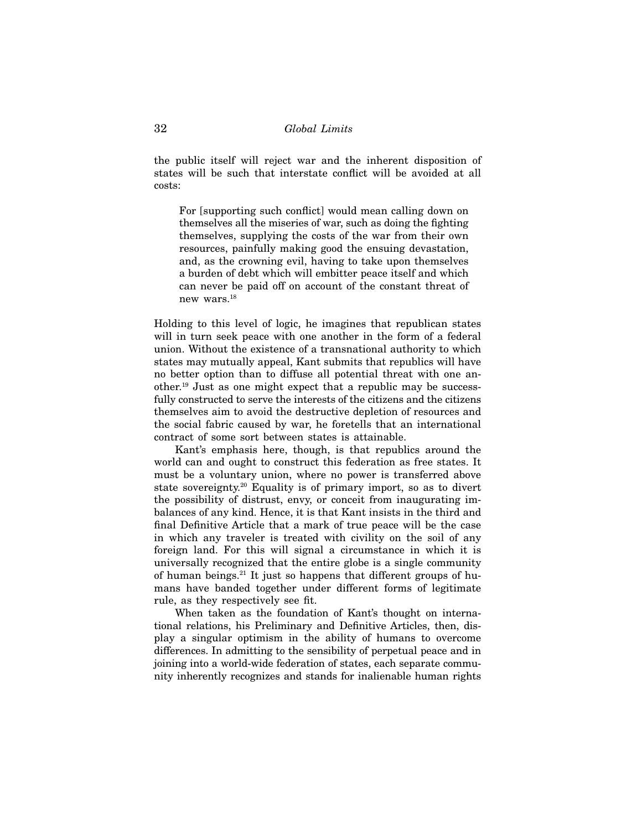the public itself will reject war and the inherent disposition of states will be such that interstate conflict will be avoided at all costs:

For [supporting such conflict] would mean calling down on themselves all the miseries of war, such as doing the fighting themselves, supplying the costs of the war from their own resources, painfully making good the ensuing devastation, and, as the crowning evil, having to take upon themselves a burden of debt which will embitter peace itself and which can never be paid off on account of the constant threat of new wars.18

Holding to this level of logic, he imagines that republican states will in turn seek peace with one another in the form of a federal union. Without the existence of a transnational authority to which states may mutually appeal, Kant submits that republics will have no better option than to diffuse all potential threat with one another.19 Just as one might expect that a republic may be successfully constructed to serve the interests of the citizens and the citizens themselves aim to avoid the destructive depletion of resources and the social fabric caused by war, he foretells that an international contract of some sort between states is attainable.

Kant's emphasis here, though, is that republics around the world can and ought to construct this federation as free states. It must be a voluntary union, where no power is transferred above state sovereignty.20 Equality is of primary import, so as to divert the possibility of distrust, envy, or conceit from inaugurating imbalances of any kind. Hence, it is that Kant insists in the third and final Definitive Article that a mark of true peace will be the case in which any traveler is treated with civility on the soil of any foreign land. For this will signal a circumstance in which it is universally recognized that the entire globe is a single community of human beings.21 It just so happens that different groups of humans have banded together under different forms of legitimate rule, as they respectively see fit.

When taken as the foundation of Kant's thought on international relations, his Preliminary and Definitive Articles, then, display a singular optimism in the ability of humans to overcome differences. In admitting to the sensibility of perpetual peace and in joining into a world-wide federation of states, each separate community inherently recognizes and stands for inalienable human rights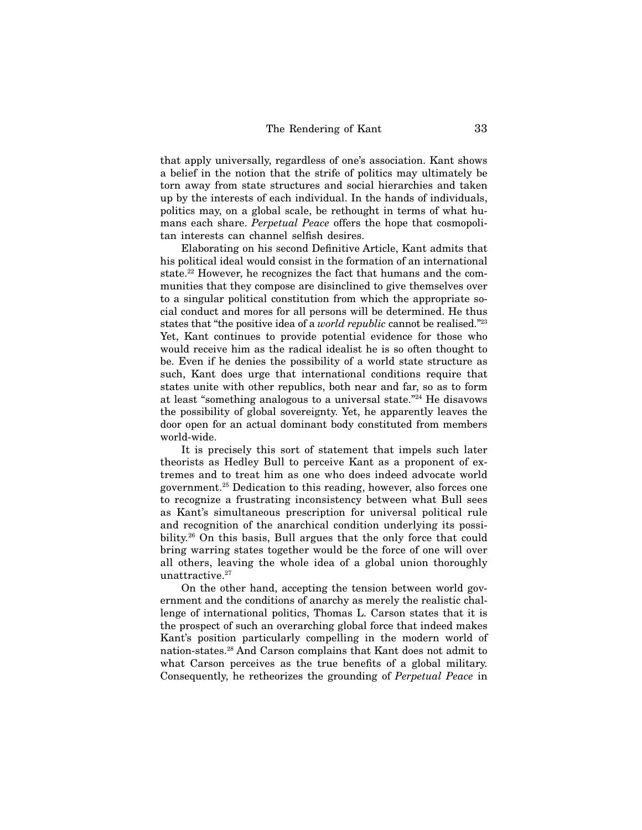that apply universally, regardless of one's association. Kant shows a belief in the notion that the strife of politics may ultimately be torn away from state structures and social hierarchies and taken up by the interests of each individual. In the hands of individuals, politics may, on a global scale, be rethought in terms of what humans each share. *Perpetual Peace* offers the hope that cosmopolitan interests can channel selfish desires.

Elaborating on his second Definitive Article, Kant admits that his political ideal would consist in the formation of an international state.<sup>22</sup> However, he recognizes the fact that humans and the communities that they compose are disinclined to give themselves over to a singular political constitution from which the appropriate social conduct and mores for all persons will be determined. He thus states that "the positive idea of a *world republic* cannot be realised."23 Yet, Kant continues to provide potential evidence for those who would receive him as the radical idealist he is so often thought to be. Even if he denies the possibility of a world state structure as such, Kant does urge that international conditions require that states unite with other republics, both near and far, so as to form at least "something analogous to a universal state."24 He disavows the possibility of global sovereignty. Yet, he apparently leaves the door open for an actual dominant body constituted from members world-wide.

It is precisely this sort of statement that impels such later theorists as Hedley Bull to perceive Kant as a proponent of extremes and to treat him as one who does indeed advocate world government.25 Dedication to this reading, however, also forces one to recognize a frustrating inconsistency between what Bull sees as Kant's simultaneous prescription for universal political rule and recognition of the anarchical condition underlying its possibility.<sup>26</sup> On this basis, Bull argues that the only force that could bring warring states together would be the force of one will over all others, leaving the whole idea of a global union thoroughly unattractive.<sup>27</sup>

On the other hand, accepting the tension between world government and the conditions of anarchy as merely the realistic challenge of international politics, Thomas L. Carson states that it is the prospect of such an overarching global force that indeed makes Kant's position particularly compelling in the modern world of nation-states.28 And Carson complains that Kant does not admit to what Carson perceives as the true benefits of a global military. Consequently, he retheorizes the grounding of *Perpetual Peace* in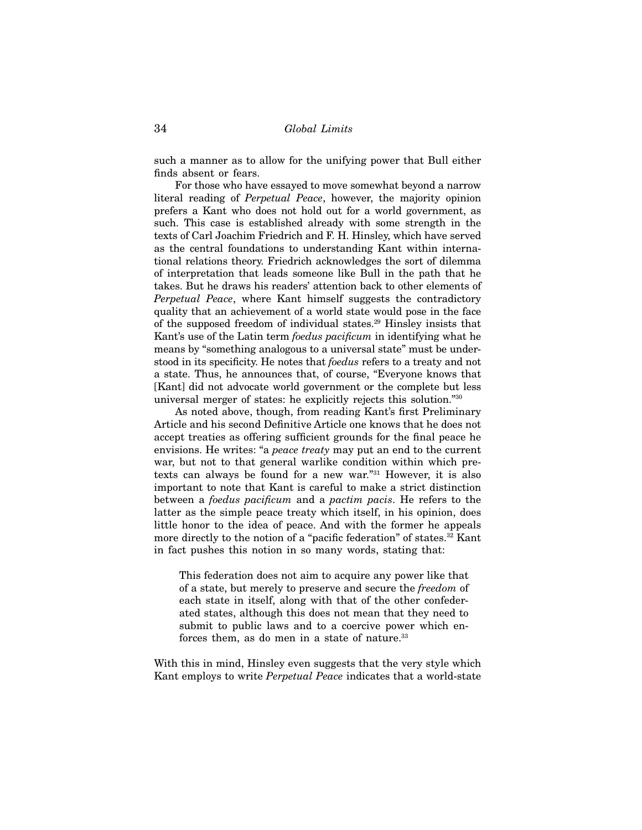such a manner as to allow for the unifying power that Bull either finds absent or fears.

For those who have essayed to move somewhat beyond a narrow literal reading of *Perpetual Peace*, however, the majority opinion prefers a Kant who does not hold out for a world government, as such. This case is established already with some strength in the texts of Carl Joachim Friedrich and F. H. Hinsley, which have served as the central foundations to understanding Kant within international relations theory. Friedrich acknowledges the sort of dilemma of interpretation that leads someone like Bull in the path that he takes. But he draws his readers' attention back to other elements of *Perpetual Peace*, where Kant himself suggests the contradictory quality that an achievement of a world state would pose in the face of the supposed freedom of individual states.29 Hinsley insists that Kant's use of the Latin term *foedus pacificum* in identifying what he means by "something analogous to a universal state" must be understood in its specificity. He notes that *foedus* refers to a treaty and not a state. Thus, he announces that, of course, "Everyone knows that [Kant] did not advocate world government or the complete but less universal merger of states: he explicitly rejects this solution."30

As noted above, though, from reading Kant's first Preliminary Article and his second Definitive Article one knows that he does not accept treaties as offering sufficient grounds for the final peace he envisions. He writes: "a *peace treaty* may put an end to the current war, but not to that general warlike condition within which pretexts can always be found for a new war."31 However, it is also important to note that Kant is careful to make a strict distinction between a *foedus pacificum* and a *pactim pacis*. He refers to the latter as the simple peace treaty which itself, in his opinion, does little honor to the idea of peace. And with the former he appeals more directly to the notion of a "pacific federation" of states.<sup>32</sup> Kant in fact pushes this notion in so many words, stating that:

This federation does not aim to acquire any power like that of a state, but merely to preserve and secure the *freedom* of each state in itself, along with that of the other confederated states, although this does not mean that they need to submit to public laws and to a coercive power which enforces them, as do men in a state of nature.<sup>33</sup>

With this in mind, Hinsley even suggests that the very style which Kant employs to write *Perpetual Peace* indicates that a world-state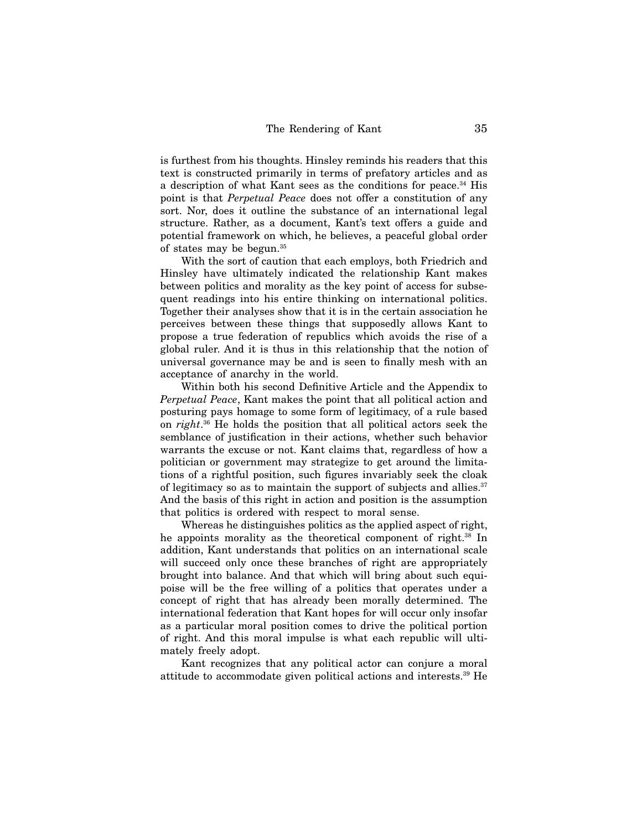is furthest from his thoughts. Hinsley reminds his readers that this text is constructed primarily in terms of prefatory articles and as a description of what Kant sees as the conditions for peace.<sup>34</sup> His point is that *Perpetual Peace* does not offer a constitution of any sort. Nor, does it outline the substance of an international legal structure. Rather, as a document, Kant's text offers a guide and potential framework on which, he believes, a peaceful global order of states may be begun.35

With the sort of caution that each employs, both Friedrich and Hinsley have ultimately indicated the relationship Kant makes between politics and morality as the key point of access for subsequent readings into his entire thinking on international politics. Together their analyses show that it is in the certain association he perceives between these things that supposedly allows Kant to propose a true federation of republics which avoids the rise of a global ruler. And it is thus in this relationship that the notion of universal governance may be and is seen to finally mesh with an acceptance of anarchy in the world.

Within both his second Definitive Article and the Appendix to *Perpetual Peace*, Kant makes the point that all political action and posturing pays homage to some form of legitimacy, of a rule based on *right*. 36 He holds the position that all political actors seek the semblance of justification in their actions, whether such behavior warrants the excuse or not. Kant claims that, regardless of how a politician or government may strategize to get around the limitations of a rightful position, such figures invariably seek the cloak of legitimacy so as to maintain the support of subjects and allies.<sup>37</sup> And the basis of this right in action and position is the assumption that politics is ordered with respect to moral sense.

Whereas he distinguishes politics as the applied aspect of right, he appoints morality as the theoretical component of right.<sup>38</sup> In addition, Kant understands that politics on an international scale will succeed only once these branches of right are appropriately brought into balance. And that which will bring about such equipoise will be the free willing of a politics that operates under a concept of right that has already been morally determined. The international federation that Kant hopes for will occur only insofar as a particular moral position comes to drive the political portion of right. And this moral impulse is what each republic will ultimately freely adopt.

Kant recognizes that any political actor can conjure a moral attitude to accommodate given political actions and interests.39 He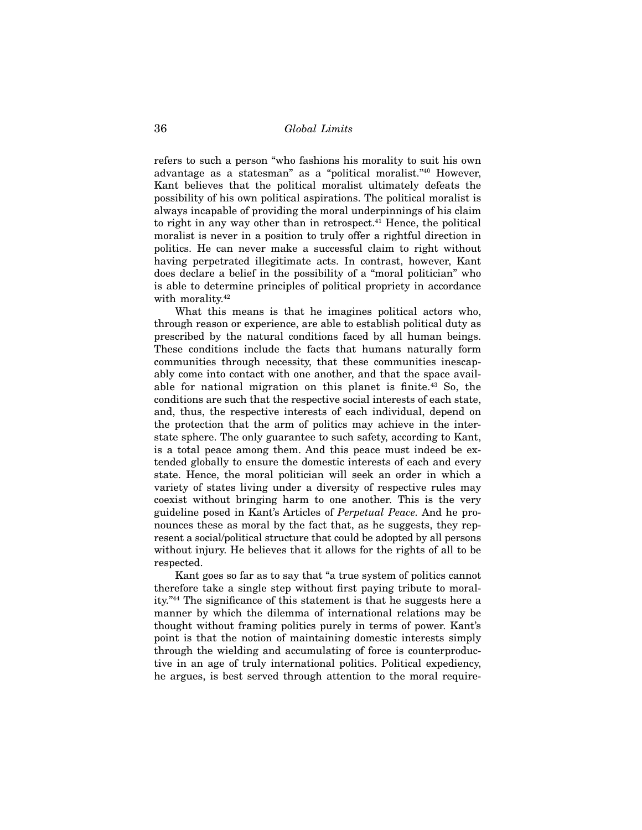refers to such a person "who fashions his morality to suit his own advantage as a statesman" as a "political moralist."40 However, Kant believes that the political moralist ultimately defeats the possibility of his own political aspirations. The political moralist is always incapable of providing the moral underpinnings of his claim to right in any way other than in retrospect.<sup>41</sup> Hence, the political moralist is never in a position to truly offer a rightful direction in politics. He can never make a successful claim to right without having perpetrated illegitimate acts. In contrast, however, Kant does declare a belief in the possibility of a "moral politician" who is able to determine principles of political propriety in accordance with morality.<sup>42</sup>

What this means is that he imagines political actors who, through reason or experience, are able to establish political duty as prescribed by the natural conditions faced by all human beings. These conditions include the facts that humans naturally form communities through necessity, that these communities inescapably come into contact with one another, and that the space available for national migration on this planet is finite.<sup>43</sup> So, the conditions are such that the respective social interests of each state, and, thus, the respective interests of each individual, depend on the protection that the arm of politics may achieve in the interstate sphere. The only guarantee to such safety, according to Kant, is a total peace among them. And this peace must indeed be extended globally to ensure the domestic interests of each and every state. Hence, the moral politician will seek an order in which a variety of states living under a diversity of respective rules may coexist without bringing harm to one another. This is the very guideline posed in Kant's Articles of *Perpetual Peace.* And he pronounces these as moral by the fact that, as he suggests, they represent a social/political structure that could be adopted by all persons without injury. He believes that it allows for the rights of all to be respected.

Kant goes so far as to say that "a true system of politics cannot therefore take a single step without first paying tribute to morality."44 The significance of this statement is that he suggests here a manner by which the dilemma of international relations may be thought without framing politics purely in terms of power. Kant's point is that the notion of maintaining domestic interests simply through the wielding and accumulating of force is counterproductive in an age of truly international politics. Political expediency, he argues, is best served through attention to the moral require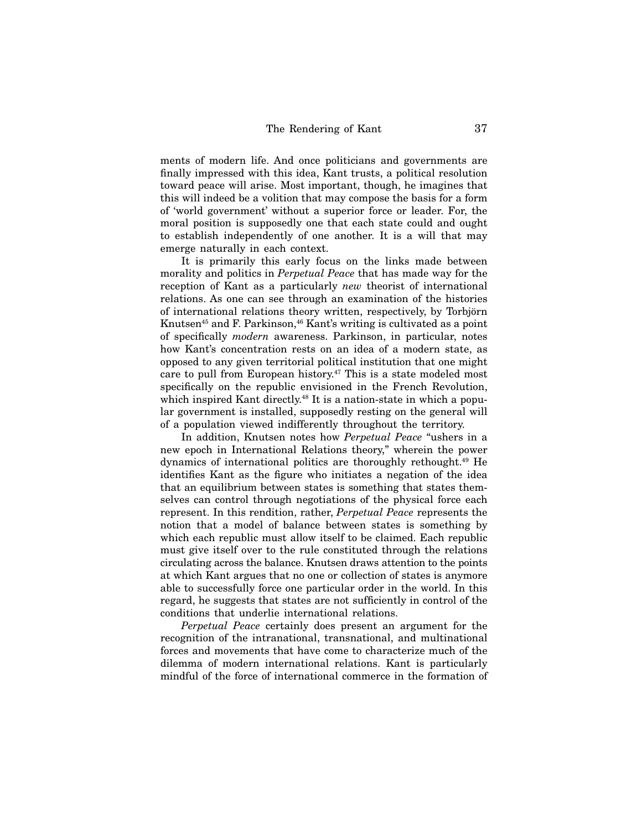ments of modern life. And once politicians and governments are finally impressed with this idea, Kant trusts, a political resolution toward peace will arise. Most important, though, he imagines that this will indeed be a volition that may compose the basis for a form of 'world government' without a superior force or leader. For, the moral position is supposedly one that each state could and ought to establish independently of one another. It is a will that may emerge naturally in each context.

It is primarily this early focus on the links made between morality and politics in *Perpetual Peace* that has made way for the reception of Kant as a particularly *new* theorist of international relations. As one can see through an examination of the histories of international relations theory written, respectively, by Torbjörn Knutsen<sup>45</sup> and F. Parkinson,<sup>46</sup> Kant's writing is cultivated as a point of specifically *modern* awareness. Parkinson, in particular, notes how Kant's concentration rests on an idea of a modern state, as opposed to any given territorial political institution that one might care to pull from European history.<sup>47</sup> This is a state modeled most specifically on the republic envisioned in the French Revolution, which inspired Kant directly.<sup>48</sup> It is a nation-state in which a popular government is installed, supposedly resting on the general will of a population viewed indifferently throughout the territory.

In addition, Knutsen notes how *Perpetual Peace* "ushers in a new epoch in International Relations theory," wherein the power dynamics of international politics are thoroughly rethought.49 He identifies Kant as the figure who initiates a negation of the idea that an equilibrium between states is something that states themselves can control through negotiations of the physical force each represent. In this rendition, rather, *Perpetual Peace* represents the notion that a model of balance between states is something by which each republic must allow itself to be claimed. Each republic must give itself over to the rule constituted through the relations circulating across the balance. Knutsen draws attention to the points at which Kant argues that no one or collection of states is anymore able to successfully force one particular order in the world. In this regard, he suggests that states are not sufficiently in control of the conditions that underlie international relations.

*Perpetual Peace* certainly does present an argument for the recognition of the intranational, transnational, and multinational forces and movements that have come to characterize much of the dilemma of modern international relations. Kant is particularly mindful of the force of international commerce in the formation of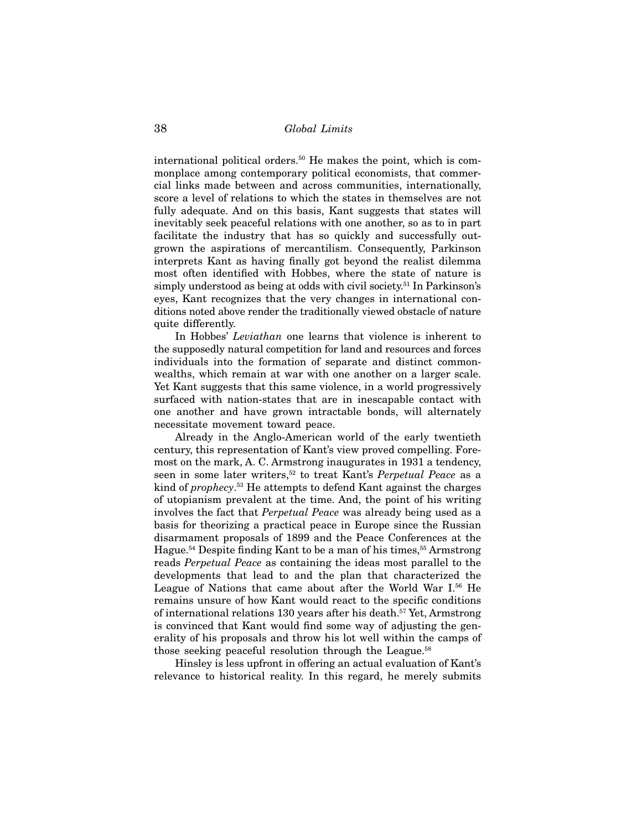international political orders.<sup>50</sup> He makes the point, which is commonplace among contemporary political economists, that commercial links made between and across communities, internationally, score a level of relations to which the states in themselves are not fully adequate. And on this basis, Kant suggests that states will inevitably seek peaceful relations with one another, so as to in part facilitate the industry that has so quickly and successfully outgrown the aspirations of mercantilism. Consequently, Parkinson interprets Kant as having finally got beyond the realist dilemma most often identified with Hobbes, where the state of nature is simply understood as being at odds with civil society.<sup>51</sup> In Parkinson's eyes, Kant recognizes that the very changes in international conditions noted above render the traditionally viewed obstacle of nature quite differently.

In Hobbes' *Leviathan* one learns that violence is inherent to the supposedly natural competition for land and resources and forces individuals into the formation of separate and distinct commonwealths, which remain at war with one another on a larger scale. Yet Kant suggests that this same violence, in a world progressively surfaced with nation-states that are in inescapable contact with one another and have grown intractable bonds, will alternately necessitate movement toward peace.

Already in the Anglo-American world of the early twentieth century, this representation of Kant's view proved compelling. Foremost on the mark, A. C. Armstrong inaugurates in 1931 a tendency, seen in some later writers,52 to treat Kant's *Perpetual Peace* as a kind of *prophecy*. 53 He attempts to defend Kant against the charges of utopianism prevalent at the time. And, the point of his writing involves the fact that *Perpetual Peace* was already being used as a basis for theorizing a practical peace in Europe since the Russian disarmament proposals of 1899 and the Peace Conferences at the Hague.<sup>54</sup> Despite finding Kant to be a man of his times,<sup>55</sup> Armstrong reads *Perpetual Peace* as containing the ideas most parallel to the developments that lead to and the plan that characterized the League of Nations that came about after the World War I.56 He remains unsure of how Kant would react to the specific conditions of international relations 130 years after his death.<sup>57</sup> Yet, Armstrong is convinced that Kant would find some way of adjusting the generality of his proposals and throw his lot well within the camps of those seeking peaceful resolution through the League.<sup>58</sup>

Hinsley is less upfront in offering an actual evaluation of Kant's relevance to historical reality. In this regard, he merely submits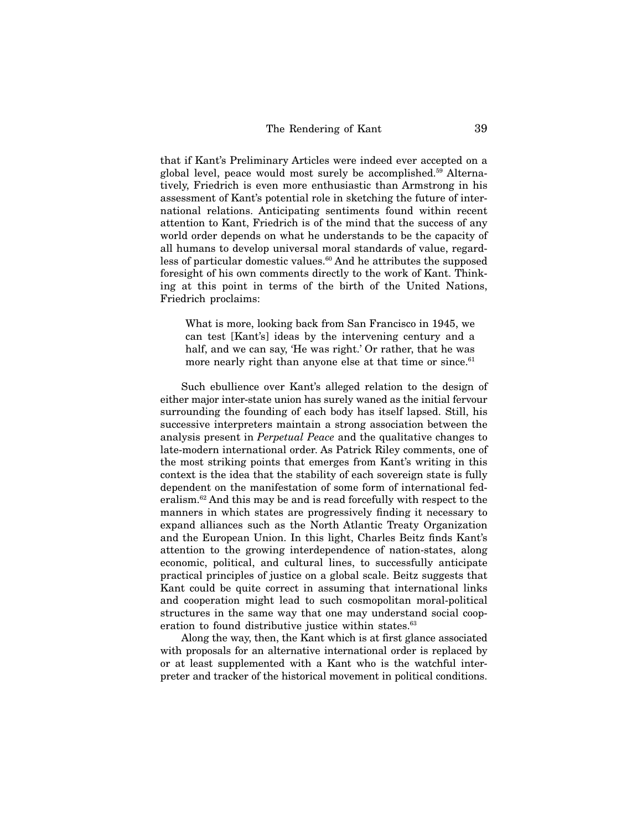that if Kant's Preliminary Articles were indeed ever accepted on a global level, peace would most surely be accomplished.59 Alternatively, Friedrich is even more enthusiastic than Armstrong in his assessment of Kant's potential role in sketching the future of international relations. Anticipating sentiments found within recent attention to Kant, Friedrich is of the mind that the success of any world order depends on what he understands to be the capacity of all humans to develop universal moral standards of value, regardless of particular domestic values.<sup>60</sup> And he attributes the supposed foresight of his own comments directly to the work of Kant. Thinking at this point in terms of the birth of the United Nations, Friedrich proclaims:

What is more, looking back from San Francisco in 1945, we can test [Kant's] ideas by the intervening century and a half, and we can say, 'He was right.' Or rather, that he was more nearly right than anyone else at that time or since.<sup>61</sup>

Such ebullience over Kant's alleged relation to the design of either major inter-state union has surely waned as the initial fervour surrounding the founding of each body has itself lapsed. Still, his successive interpreters maintain a strong association between the analysis present in *Perpetual Peace* and the qualitative changes to late-modern international order. As Patrick Riley comments, one of the most striking points that emerges from Kant's writing in this context is the idea that the stability of each sovereign state is fully dependent on the manifestation of some form of international federalism.62 And this may be and is read forcefully with respect to the manners in which states are progressively finding it necessary to expand alliances such as the North Atlantic Treaty Organization and the European Union. In this light, Charles Beitz finds Kant's attention to the growing interdependence of nation-states, along economic, political, and cultural lines, to successfully anticipate practical principles of justice on a global scale. Beitz suggests that Kant could be quite correct in assuming that international links and cooperation might lead to such cosmopolitan moral-political structures in the same way that one may understand social cooperation to found distributive justice within states.<sup>63</sup>

Along the way, then, the Kant which is at first glance associated with proposals for an alternative international order is replaced by or at least supplemented with a Kant who is the watchful interpreter and tracker of the historical movement in political conditions.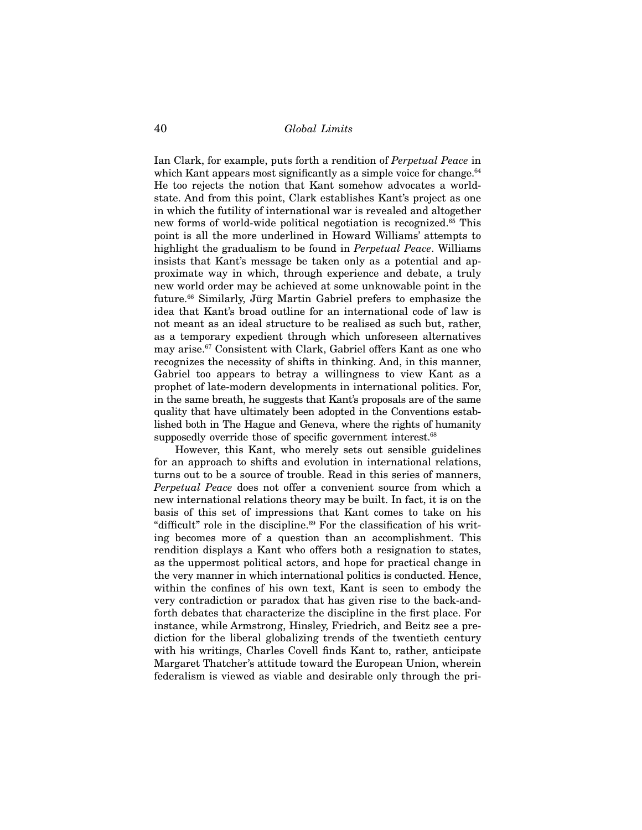Ian Clark, for example, puts forth a rendition of *Perpetual Peace* in which Kant appears most significantly as a simple voice for change. $64$ He too rejects the notion that Kant somehow advocates a worldstate. And from this point, Clark establishes Kant's project as one in which the futility of international war is revealed and altogether new forms of world-wide political negotiation is recognized.<sup>65</sup> This point is all the more underlined in Howard Williams' attempts to highlight the gradualism to be found in *Perpetual Peace*. Williams insists that Kant's message be taken only as a potential and approximate way in which, through experience and debate, a truly new world order may be achieved at some unknowable point in the future.66 Similarly, Jürg Martin Gabriel prefers to emphasize the idea that Kant's broad outline for an international code of law is not meant as an ideal structure to be realised as such but, rather, as a temporary expedient through which unforeseen alternatives may arise.<sup>67</sup> Consistent with Clark, Gabriel offers Kant as one who recognizes the necessity of shifts in thinking. And, in this manner, Gabriel too appears to betray a willingness to view Kant as a prophet of late-modern developments in international politics. For, in the same breath, he suggests that Kant's proposals are of the same quality that have ultimately been adopted in the Conventions established both in The Hague and Geneva, where the rights of humanity supposedly override those of specific government interest.<sup>68</sup>

However, this Kant, who merely sets out sensible guidelines for an approach to shifts and evolution in international relations, turns out to be a source of trouble. Read in this series of manners, *Perpetual Peace* does not offer a convenient source from which a new international relations theory may be built. In fact, it is on the basis of this set of impressions that Kant comes to take on his "difficult" role in the discipline.69 For the classification of his writing becomes more of a question than an accomplishment. This rendition displays a Kant who offers both a resignation to states, as the uppermost political actors, and hope for practical change in the very manner in which international politics is conducted. Hence, within the confines of his own text, Kant is seen to embody the very contradiction or paradox that has given rise to the back-andforth debates that characterize the discipline in the first place. For instance, while Armstrong, Hinsley, Friedrich, and Beitz see a prediction for the liberal globalizing trends of the twentieth century with his writings, Charles Covell finds Kant to, rather, anticipate Margaret Thatcher's attitude toward the European Union, wherein federalism is viewed as viable and desirable only through the pri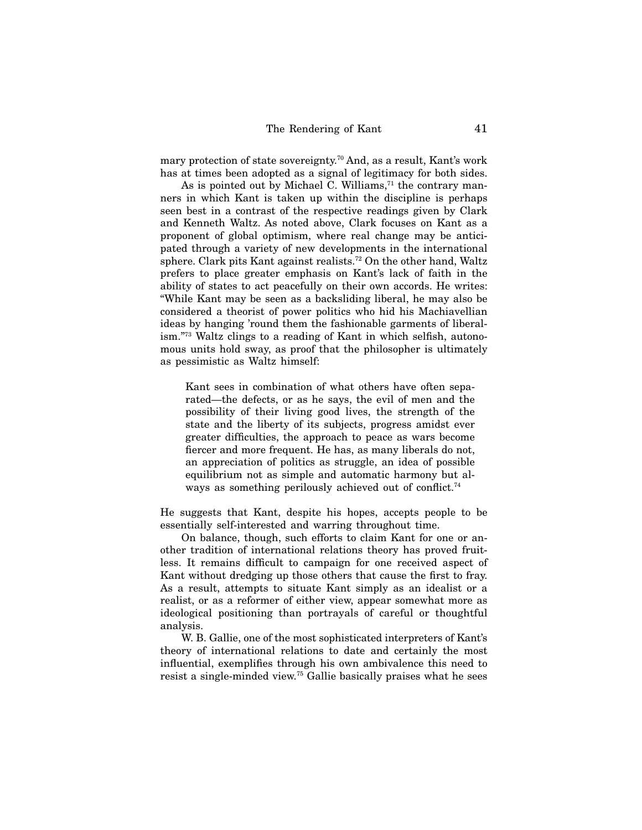mary protection of state sovereignty.70 And, as a result, Kant's work has at times been adopted as a signal of legitimacy for both sides.

As is pointed out by Michael C. Williams, $71$  the contrary manners in which Kant is taken up within the discipline is perhaps seen best in a contrast of the respective readings given by Clark and Kenneth Waltz. As noted above, Clark focuses on Kant as a proponent of global optimism, where real change may be anticipated through a variety of new developments in the international sphere. Clark pits Kant against realists.72 On the other hand, Waltz prefers to place greater emphasis on Kant's lack of faith in the ability of states to act peacefully on their own accords. He writes: "While Kant may be seen as a backsliding liberal, he may also be considered a theorist of power politics who hid his Machiavellian ideas by hanging 'round them the fashionable garments of liberalism."73 Waltz clings to a reading of Kant in which selfish, autonomous units hold sway, as proof that the philosopher is ultimately as pessimistic as Waltz himself:

Kant sees in combination of what others have often separated—the defects, or as he says, the evil of men and the possibility of their living good lives, the strength of the state and the liberty of its subjects, progress amidst ever greater difficulties, the approach to peace as wars become fiercer and more frequent. He has, as many liberals do not, an appreciation of politics as struggle, an idea of possible equilibrium not as simple and automatic harmony but always as something perilously achieved out of conflict.<sup>74</sup>

He suggests that Kant, despite his hopes, accepts people to be essentially self-interested and warring throughout time.

On balance, though, such efforts to claim Kant for one or another tradition of international relations theory has proved fruitless. It remains difficult to campaign for one received aspect of Kant without dredging up those others that cause the first to fray. As a result, attempts to situate Kant simply as an idealist or a realist, or as a reformer of either view, appear somewhat more as ideological positioning than portrayals of careful or thoughtful analysis.

W. B. Gallie, one of the most sophisticated interpreters of Kant's theory of international relations to date and certainly the most influential, exemplifies through his own ambivalence this need to resist a single-minded view.75 Gallie basically praises what he sees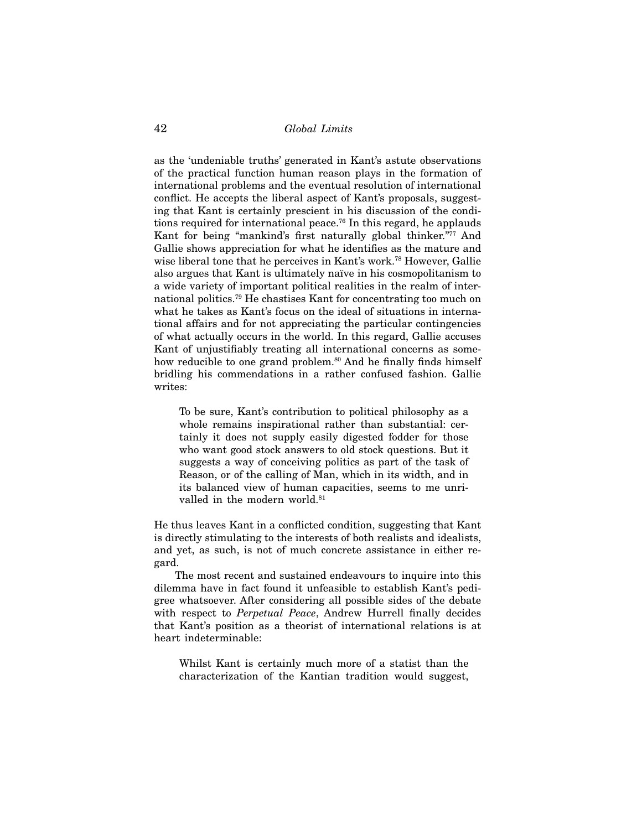as the 'undeniable truths' generated in Kant's astute observations of the practical function human reason plays in the formation of international problems and the eventual resolution of international conflict. He accepts the liberal aspect of Kant's proposals, suggesting that Kant is certainly prescient in his discussion of the conditions required for international peace.<sup>76</sup> In this regard, he applauds Kant for being "mankind's first naturally global thinker."77 And Gallie shows appreciation for what he identifies as the mature and wise liberal tone that he perceives in Kant's work.78 However, Gallie also argues that Kant is ultimately naïve in his cosmopolitanism to a wide variety of important political realities in the realm of international politics.79 He chastises Kant for concentrating too much on what he takes as Kant's focus on the ideal of situations in international affairs and for not appreciating the particular contingencies of what actually occurs in the world. In this regard, Gallie accuses Kant of unjustifiably treating all international concerns as somehow reducible to one grand problem.<sup>80</sup> And he finally finds himself bridling his commendations in a rather confused fashion. Gallie writes:

To be sure, Kant's contribution to political philosophy as a whole remains inspirational rather than substantial: certainly it does not supply easily digested fodder for those who want good stock answers to old stock questions. But it suggests a way of conceiving politics as part of the task of Reason, or of the calling of Man, which in its width, and in its balanced view of human capacities, seems to me unrivalled in the modern world.<sup>81</sup>

He thus leaves Kant in a conflicted condition, suggesting that Kant is directly stimulating to the interests of both realists and idealists, and yet, as such, is not of much concrete assistance in either regard.

The most recent and sustained endeavours to inquire into this dilemma have in fact found it unfeasible to establish Kant's pedigree whatsoever. After considering all possible sides of the debate with respect to *Perpetual Peace*, Andrew Hurrell finally decides that Kant's position as a theorist of international relations is at heart indeterminable:

Whilst Kant is certainly much more of a statist than the characterization of the Kantian tradition would suggest,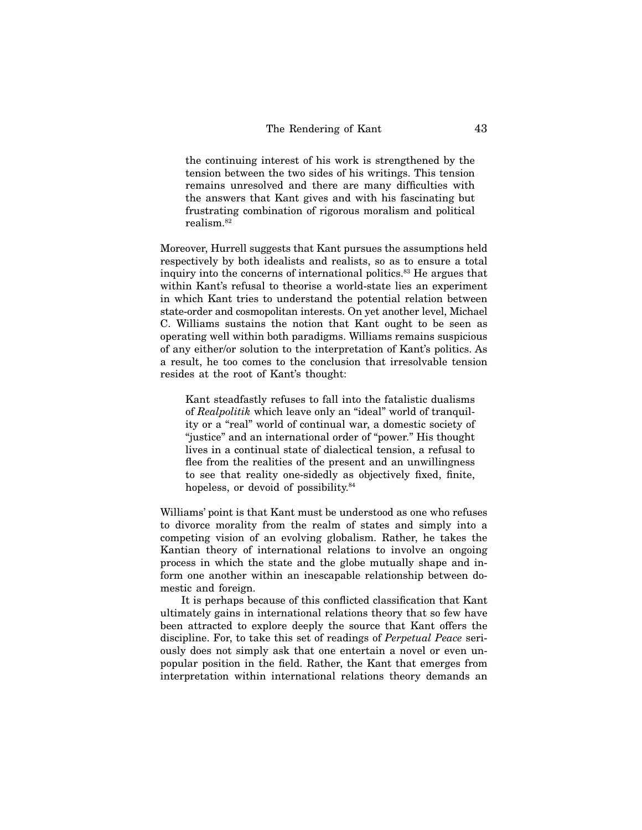the continuing interest of his work is strengthened by the tension between the two sides of his writings. This tension remains unresolved and there are many difficulties with the answers that Kant gives and with his fascinating but frustrating combination of rigorous moralism and political realism<sup>82</sup>

Moreover, Hurrell suggests that Kant pursues the assumptions held respectively by both idealists and realists, so as to ensure a total inquiry into the concerns of international politics.<sup>83</sup> He argues that within Kant's refusal to theorise a world-state lies an experiment in which Kant tries to understand the potential relation between state-order and cosmopolitan interests. On yet another level, Michael C. Williams sustains the notion that Kant ought to be seen as operating well within both paradigms. Williams remains suspicious of any either/or solution to the interpretation of Kant's politics. As a result, he too comes to the conclusion that irresolvable tension resides at the root of Kant's thought:

Kant steadfastly refuses to fall into the fatalistic dualisms of *Realpolitik* which leave only an "ideal" world of tranquility or a "real" world of continual war, a domestic society of "justice" and an international order of "power." His thought lives in a continual state of dialectical tension, a refusal to flee from the realities of the present and an unwillingness to see that reality one-sidedly as objectively fixed, finite, hopeless, or devoid of possibility.<sup>84</sup>

Williams' point is that Kant must be understood as one who refuses to divorce morality from the realm of states and simply into a competing vision of an evolving globalism. Rather, he takes the Kantian theory of international relations to involve an ongoing process in which the state and the globe mutually shape and inform one another within an inescapable relationship between domestic and foreign.

It is perhaps because of this conflicted classification that Kant ultimately gains in international relations theory that so few have been attracted to explore deeply the source that Kant offers the discipline. For, to take this set of readings of *Perpetual Peace* seriously does not simply ask that one entertain a novel or even unpopular position in the field. Rather, the Kant that emerges from interpretation within international relations theory demands an